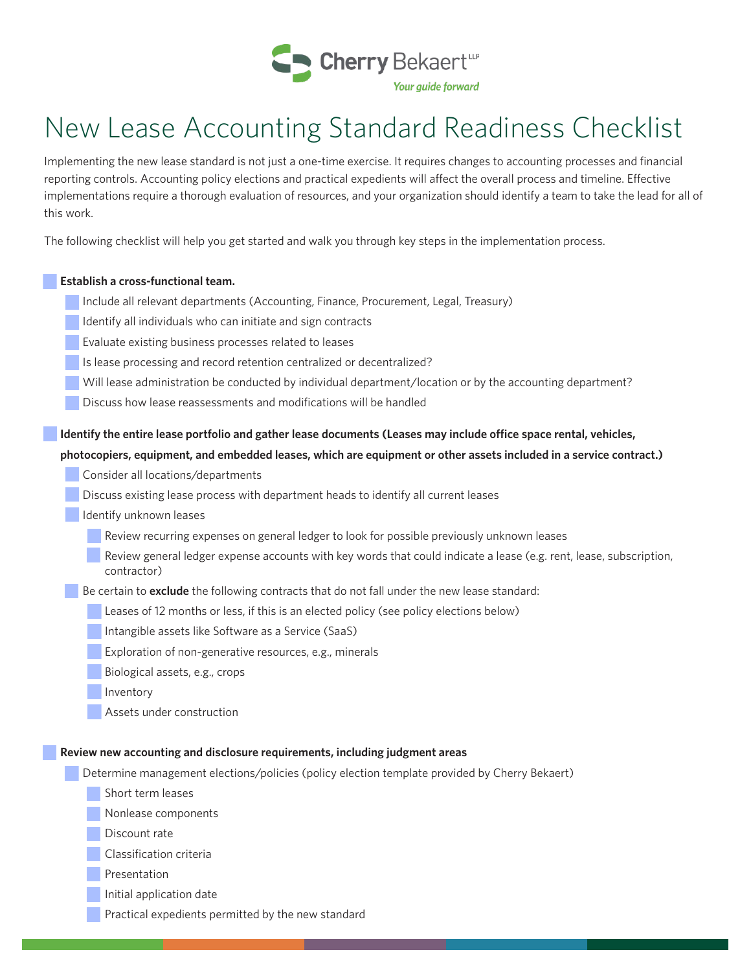

# New Lease Accounting Standard Readiness Checklist

Implementing the new lease standard is not just a one-time exercise. It requires changes to accounting processes and financial reporting controls. Accounting policy elections and practical expedients will affect the overall process and timeline. Effective implementations require a thorough evaluation of resources, and your organization should identify a team to take the lead for all of this work.

The following checklist will help you get started and walk you through key steps in the implementation process.

#### **Establish a cross-functional team.**

- Include all relevant departments (Accounting, Finance, Procurement, Legal, Treasury)
- Identify all individuals who can initiate and sign contracts
- Evaluate existing business processes related to leases
- Is lease processing and record retention centralized or decentralized?
- Will lease administration be conducted by individual department/location or by the accounting department?
- Discuss how lease reassessments and modifications will be handled

## **Identify the entire lease portfolio and gather lease documents (Leases may include office space rental, vehicles,**

### **photocopiers, equipment, and embedded leases, which are equipment or other assets included in a service contract.)**

- Consider all locations/departments
- Discuss existing lease process with department heads to identify all current leases
- Identify unknown leases
	- Review recurring expenses on general ledger to look for possible previously unknown leases
	- Review general ledger expense accounts with key words that could indicate a lease (e.g. rent, lease, subscription, contractor)
- Be certain to **exclude** the following contracts that do not fall under the new lease standard:
	- Leases of 12 months or less, if this is an elected policy (see policy elections below)
	- Intangible assets like Software as a Service (SaaS)
	- Exploration of non-generative resources, e.g., minerals
	- Biological assets, e.g., crops
	- Inventory
	- Assets under construction

#### **Review new accounting and disclosure requirements, including judgment areas**

- Determine management elections/policies (policy election template provided by Cherry Bekaert)
	- Short term leases
	- Nonlease components
	- Discount rate
	- Classification criteria
	- Presentation
	- Initial application date
	- Practical expedients permitted by the new standard